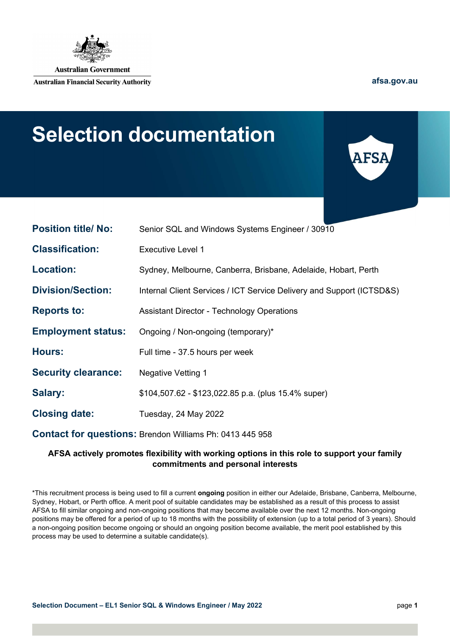

**Australian Financial Security Authority** 

afsa.gov.au

# Selection documentation



| <b>Position title/ No:</b>                                      | Senior SQL and Windows Systems Engineer / 30910                       |
|-----------------------------------------------------------------|-----------------------------------------------------------------------|
| <b>Classification:</b>                                          | <b>Executive Level 1</b>                                              |
| <b>Location:</b>                                                | Sydney, Melbourne, Canberra, Brisbane, Adelaide, Hobart, Perth        |
| <b>Division/Section:</b>                                        | Internal Client Services / ICT Service Delivery and Support (ICTSD&S) |
| <b>Reports to:</b>                                              | <b>Assistant Director - Technology Operations</b>                     |
| <b>Employment status:</b>                                       | Ongoing / Non-ongoing (temporary)*                                    |
| <b>Hours:</b>                                                   | Full time - 37.5 hours per week                                       |
| <b>Security clearance:</b>                                      | <b>Negative Vetting 1</b>                                             |
| Salary:                                                         | $$104,507.62 - $123,022.85 p.a.$ (plus 15.4% super)                   |
| <b>Closing date:</b>                                            | Tuesday, 24 May 2022                                                  |
| <b>Contact for questions: Brendon Williams Ph: 0413 445 958</b> |                                                                       |

### AFSA actively promotes flexibility with working options in this role to support your family commitments and personal interests

\*This recruitment process is being used to fill a current ongoing position in either our Adelaide, Brisbane, Canberra, Melbourne, Sydney, Hobart, or Perth office. A merit pool of suitable candidates may be established as a result of this process to assist AFSA to fill similar ongoing and non-ongoing positions that may become available over the next 12 months. Non-ongoing positions may be offered for a period of up to 18 months with the possibility of extension (up to a total period of 3 years). Should a non-ongoing position become ongoing or should an ongoing position become available, the merit pool established by this process may be used to determine a suitable candidate(s).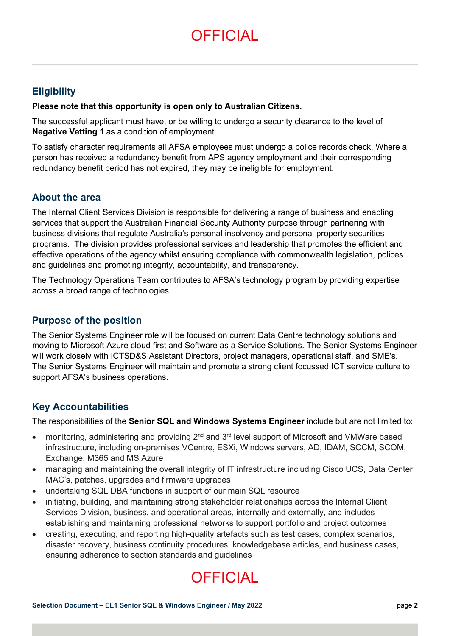# **OFFICIAL**

# **Eligibility**

#### Please note that this opportunity is open only to Australian Citizens.

The successful applicant must have, or be willing to undergo a security clearance to the level of Negative Vetting 1 as a condition of employment.

To satisfy character requirements all AFSA employees must undergo a police records check. Where a person has received a redundancy benefit from APS agency employment and their corresponding redundancy benefit period has not expired, they may be ineligible for employment.

### About the area

The Internal Client Services Division is responsible for delivering a range of business and enabling services that support the Australian Financial Security Authority purpose through partnering with business divisions that regulate Australia's personal insolvency and personal property securities programs. The division provides professional services and leadership that promotes the efficient and effective operations of the agency whilst ensuring compliance with commonwealth legislation, polices and guidelines and promoting integrity, accountability, and transparency.

The Technology Operations Team contributes to AFSA's technology program by providing expertise across a broad range of technologies.

### Purpose of the position

The Senior Systems Engineer role will be focused on current Data Centre technology solutions and moving to Microsoft Azure cloud first and Software as a Service Solutions. The Senior Systems Engineer will work closely with ICTSD&S Assistant Directors, project managers, operational staff, and SME's. The Senior Systems Engineer will maintain and promote a strong client focussed ICT service culture to support AFSA's business operations.

## Key Accountabilities

The responsibilities of the Senior SQL and Windows Systems Engineer include but are not limited to:

- monitoring, administering and providing  $2^{nd}$  and  $3^{rd}$  level support of Microsoft and VMWare based infrastructure, including on-premises VCentre, ESXi, Windows servers, AD, IDAM, SCCM, SCOM, Exchange, M365 and MS Azure
- managing and maintaining the overall integrity of IT infrastructure including Cisco UCS, Data Center MAC's, patches, upgrades and firmware upgrades
- undertaking SQL DBA functions in support of our main SQL resource
- initiating, building, and maintaining strong stakeholder relationships across the Internal Client Services Division, business, and operational areas, internally and externally, and includes establishing and maintaining professional networks to support portfolio and project outcomes
- creating, executing, and reporting high-quality artefacts such as test cases, complex scenarios, disaster recovery, business continuity procedures, knowledgebase articles, and business cases, ensuring adherence to section standards and guidelines

# **OFFICIAL**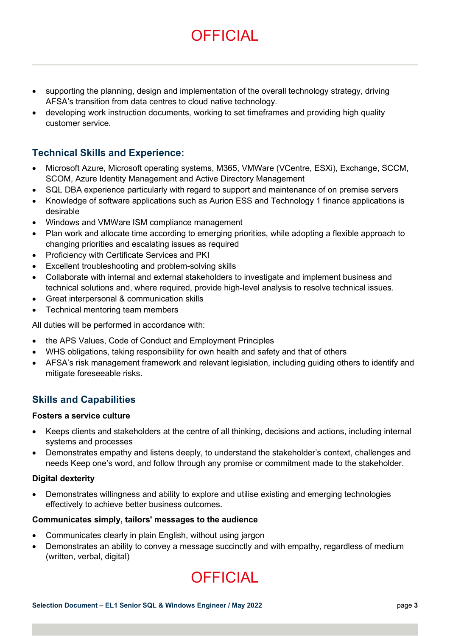# **OFFICIAL**

- supporting the planning, design and implementation of the overall technology strategy, driving AFSA's transition from data centres to cloud native technology.
- developing work instruction documents, working to set timeframes and providing high quality customer service.

# Technical Skills and Experience:

- Microsoft Azure, Microsoft operating systems, M365, VMWare (VCentre, ESXi), Exchange, SCCM, SCOM, Azure Identity Management and Active Directory Management
- SQL DBA experience particularly with regard to support and maintenance of on premise servers
- Knowledge of software applications such as Aurion ESS and Technology 1 finance applications is desirable
- Windows and VMWare ISM compliance management
- Plan work and allocate time according to emerging priorities, while adopting a flexible approach to changing priorities and escalating issues as required
- Proficiency with Certificate Services and PKI
- Excellent troubleshooting and problem-solving skills
- Collaborate with internal and external stakeholders to investigate and implement business and technical solutions and, where required, provide high-level analysis to resolve technical issues.
- Great interpersonal & communication skills
- Technical mentoring team members

All duties will be performed in accordance with:

- the APS Values, Code of Conduct and Employment Principles
- WHS obligations, taking responsibility for own health and safety and that of others
- AFSA's risk management framework and relevant legislation, including guiding others to identify and mitigate foreseeable risks.

## Skills and Capabilities

#### Fosters a service culture

- Keeps clients and stakeholders at the centre of all thinking, decisions and actions, including internal systems and processes
- Demonstrates empathy and listens deeply, to understand the stakeholder's context, challenges and needs Keep one's word, and follow through any promise or commitment made to the stakeholder.

#### Digital dexterity

 Demonstrates willingness and ability to explore and utilise existing and emerging technologies effectively to achieve better business outcomes.

#### Communicates simply, tailors' messages to the audience

- Communicates clearly in plain English, without using jargon
- Demonstrates an ability to convey a message succinctly and with empathy, regardless of medium (written, verbal, digital)

# **OFFICIAL**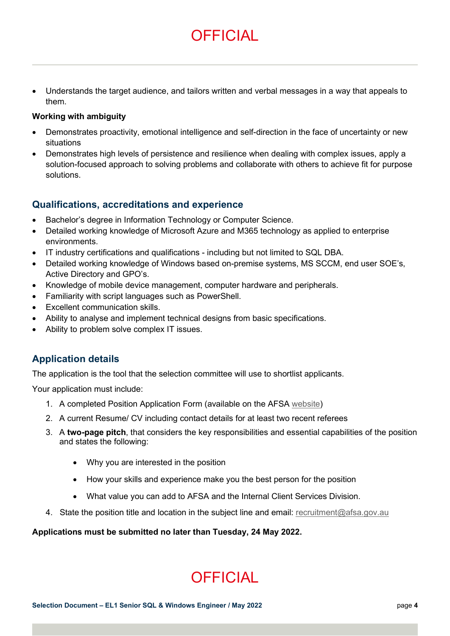Understands the target audience, and tailors written and verbal messages in a way that appeals to them.

**OFFICIAL** 

#### Working with ambiguity

- Demonstrates proactivity, emotional intelligence and self-direction in the face of uncertainty or new situations
- Demonstrates high levels of persistence and resilience when dealing with complex issues, apply a solution-focused approach to solving problems and collaborate with others to achieve fit for purpose solutions.

### Qualifications, accreditations and experience

- Bachelor's degree in Information Technology or Computer Science.
- Detailed working knowledge of Microsoft Azure and M365 technology as applied to enterprise environments.
- IT industry certifications and qualifications including but not limited to SQL DBA.
- Detailed working knowledge of Windows based on-premise systems, MS SCCM, end user SOE's, Active Directory and GPO's.
- Knowledge of mobile device management, computer hardware and peripherals.
- Familiarity with script languages such as PowerShell.
- Excellent communication skills.
- Ability to analyse and implement technical designs from basic specifications.
- Ability to problem solve complex IT issues.

## Application details

The application is the tool that the selection committee will use to shortlist applicants.

Your application must include:

- 1. A completed Position Application Form (available on the AFSA website)
- 2. A current Resume/ CV including contact details for at least two recent referees
- 3. A two-page pitch, that considers the key responsibilities and essential capabilities of the position and states the following:
	- Why you are interested in the position
	- How your skills and experience make you the best person for the position
	- What value you can add to AFSA and the Internal Client Services Division.
- 4. State the position title and location in the subject line and email: recruitment@afsa.gov.au

#### Applications must be submitted no later than Tuesday, 24 May 2022.

# **OFFICIAL**